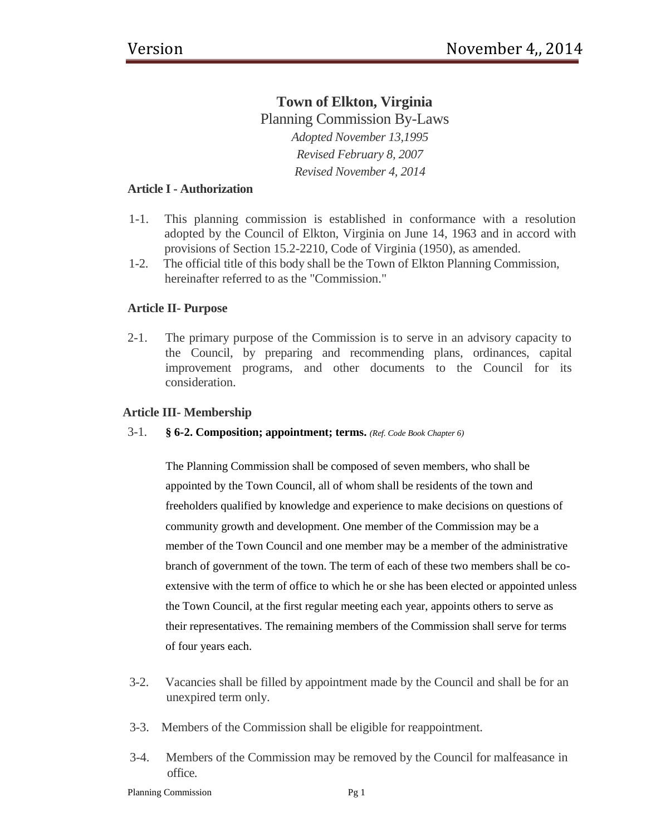# **Town of Elkton, Virginia** Planning Commission By-Laws *Adopted November 13,1995 Revised February 8, 2007 Revised November 4, 2014*

# **Article I - Authorization**

- 1-1. This planning commission is established in conformance with a resolution adopted by the Council of Elkton, Virginia on June 14, 1963 and in accord with provisions of Section 15.2-2210, Code of Virginia (1950), as amended.
- 1-2. The official title of this body shall be the Town of Elkton Planning Commission, hereinafter referred to as the "Commission."

# **Article II- Purpose**

2-1. The primary purpose of the Commission is to serve in an advisory capacity to the Council, by preparing and recommending plans, ordinances, capital improvement programs, and other documents to the Council for its consideration.

# **Article III- Membership**

3-1. **§ 6-2. Composition; appointment; terms.** *(Ref. Code Book Chapter 6)*

The Planning Commission shall be composed of seven members, who shall be appointed by the Town Council, all of whom shall be residents of the town and freeholders qualified by knowledge and experience to make decisions on questions of community growth and development. One member of the Commission may be a member of the Town Council and one member may be a member of the administrative branch of government of the town. The term of each of these two members shall be coextensive with the term of office to which he or she has been elected or appointed unless the Town Council, at the first regular meeting each year, appoints others to serve as their representatives. The remaining members of the Commission shall serve for terms of four years each.

- 3-2. Vacancies shall be filled by appointment made by the Council and shall be for an unexpired term only.
- 3-3. Members of the Commission shall be eligible for reappointment.
- 3-4. Members of the Commission may be removed by the Council for malfeasance in office.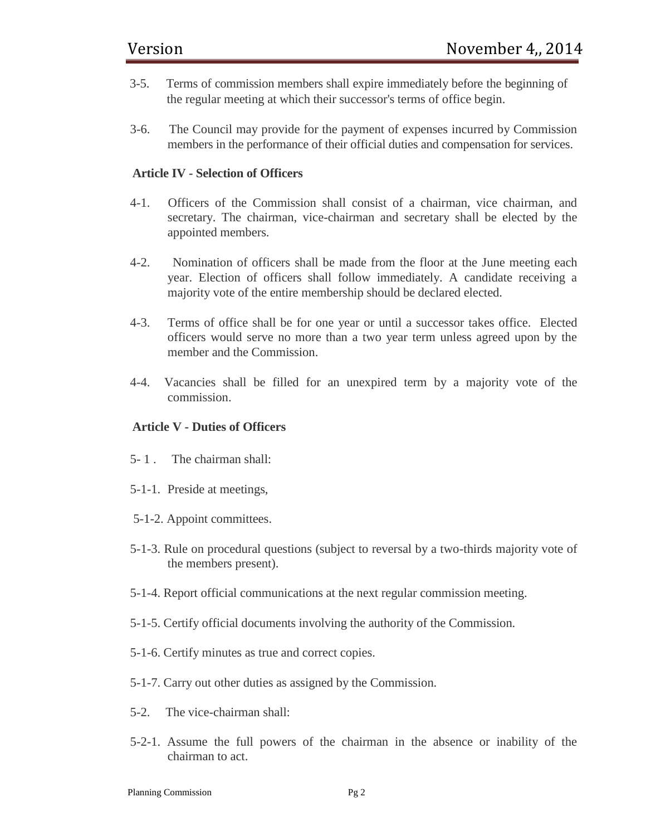- 3-5. Terms of commission members shall expire immediately before the beginning of the regular meeting at which their successor's terms of office begin.
- 3-6. The Council may provide for the payment of expenses incurred by Commission members in the performance of their official duties and compensation for services.

# **Article IV - Selection of Officers**

- 4-1. Officers of the Commission shall consist of a chairman, vice chairman, and secretary. The chairman, vice-chairman and secretary shall be elected by the appointed members.
- 4-2. Nomination of officers shall be made from the floor at the June meeting each year. Election of officers shall follow immediately. A candidate receiving a majority vote of the entire membership should be declared elected.
- 4-3. Terms of office shall be for one year or until a successor takes office. Elected officers would serve no more than a two year term unless agreed upon by the member and the Commission.
- 4-4. Vacancies shall be filled for an unexpired term by a majority vote of the commission.

# **Article V - Duties of Officers**

- 5- 1 . The chairman shall:
- 5-1-1. Preside at meetings,
- 5-1-2. Appoint committees.
- 5-1-3. Rule on procedural questions (subject to reversal by a two-thirds majority vote of the members present).
- 5-1-4. Report official communications at the next regular commission meeting.
- 5-1-5. Certify official documents involving the authority of the Commission.
- 5-1-6. Certify minutes as true and correct copies.
- 5-1-7. Carry out other duties as assigned by the Commission.
- 5-2. The vice-chairman shall:
- 5-2-1. Assume the full powers of the chairman in the absence or inability of the chairman to act.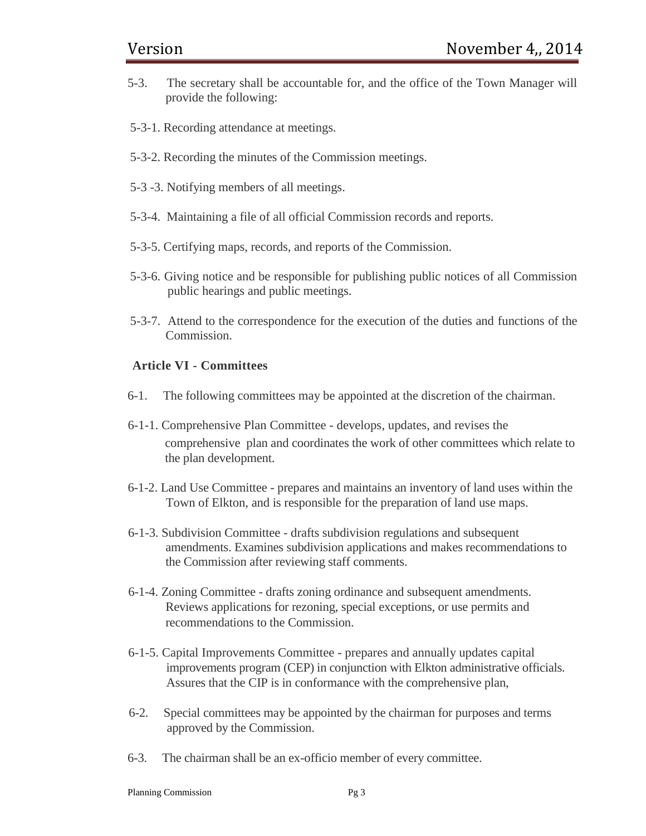- 5-3. The secretary shall be accountable for, and the office of the Town Manager will provide the following:
- 5-3-1. Recording attendance at meetings.
- 5-3-2. Recording the minutes of the Commission meetings.
- 5-3 -3. Notifying members of all meetings.
- 5-3-4. Maintaining a file of all official Commission records and reports.
- 5-3-5. Certifying maps, records, and reports of the Commission.
- 5-3-6. Giving notice and be responsible for publishing public notices of all Commission public hearings and public meetings.
- 5-3-7. Attend to the correspondence for the execution of the duties and functions of the Commission.

### **Article VI - Committees**

- 6-1. The following committees may be appointed at the discretion of the chairman.
- 6-1-1. Comprehensive Plan Committee develops, updates, and revises the comprehensive plan and coordinates the work of other committees which relate to the plan development.
- 6-1-2. Land Use Committee prepares and maintains an inventory of land uses within the Town of Elkton, and is responsible for the preparation of land use maps.
- 6-1-3. Subdivision Committee drafts subdivision regulations and subsequent amendments. Examines subdivision applications and makes recommendations to the Commission after reviewing staff comments.
- 6-1-4. Zoning Committee drafts zoning ordinance and subsequent amendments. Reviews applications for rezoning, special exceptions, or use permits and recommendations to the Commission.
- 6-1-5. Capital Improvements Committee prepares and annually updates capital improvements program (CEP) in conjunction with Elkton administrative officials. Assures that the CIP is in conformance with the comprehensive plan,
- 6-2. Special committees may be appointed by the chairman for purposes and terms approved by the Commission.
- 6-3. The chairman shall be an ex-officio member of every committee.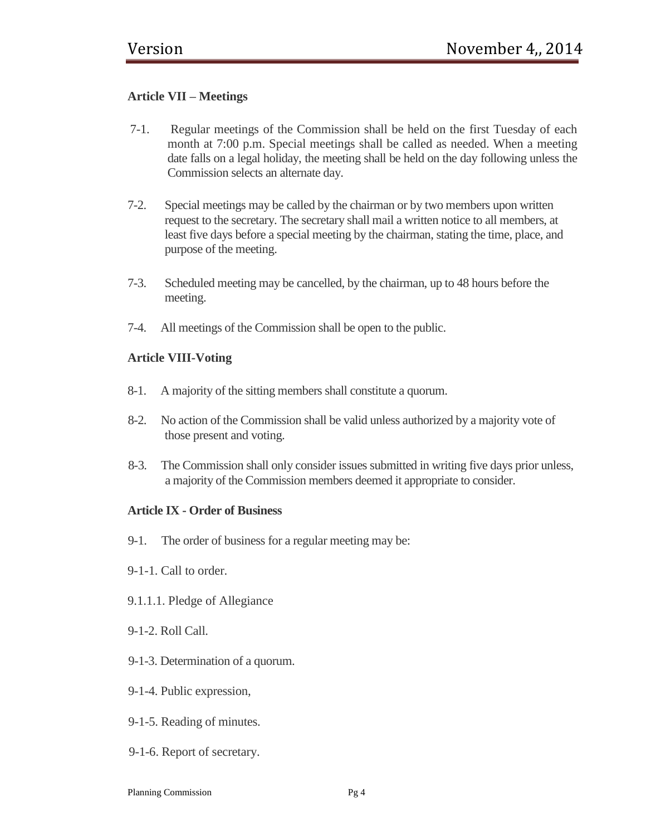# **Article VII – Meetings**

- 7-1. Regular meetings of the Commission shall be held on the first Tuesday of each month at 7:00 p.m. Special meetings shall be called as needed. When a meeting date falls on a legal holiday, the meeting shall be held on the day following unless the Commission selects an alternate day.
- 7-2. Special meetings may be called by the chairman or by two members upon written request to the secretary. The secretary shall mail a written notice to all members, at least five days before a special meeting by the chairman, stating the time, place, and purpose of the meeting.
- 7-3. Scheduled meeting may be cancelled, by the chairman, up to 48 hours before the meeting.
- 7-4. All meetings of the Commission shall be open to the public.

# **Article VIII-Voting**

- 8-1. A majority of the sitting members shall constitute a quorum.
- 8-2. No action of the Commission shall be valid unless authorized by a majority vote of those present and voting.
- 8-3. The Commission shall only consider issues submitted in writing five days prior unless, a majority of the Commission members deemed it appropriate to consider.

#### **Article IX - Order of Business**

- 9-1. The order of business for a regular meeting may be:
- 9-1-1. Call to order.
- 9.1.1.1. Pledge of Allegiance
- 9-1-2. Roll Call.
- 9-1-3. Determination of a quorum.
- 9-1-4. Public expression,
- 9-1-5. Reading of minutes.
- 9-1-6. Report of secretary.